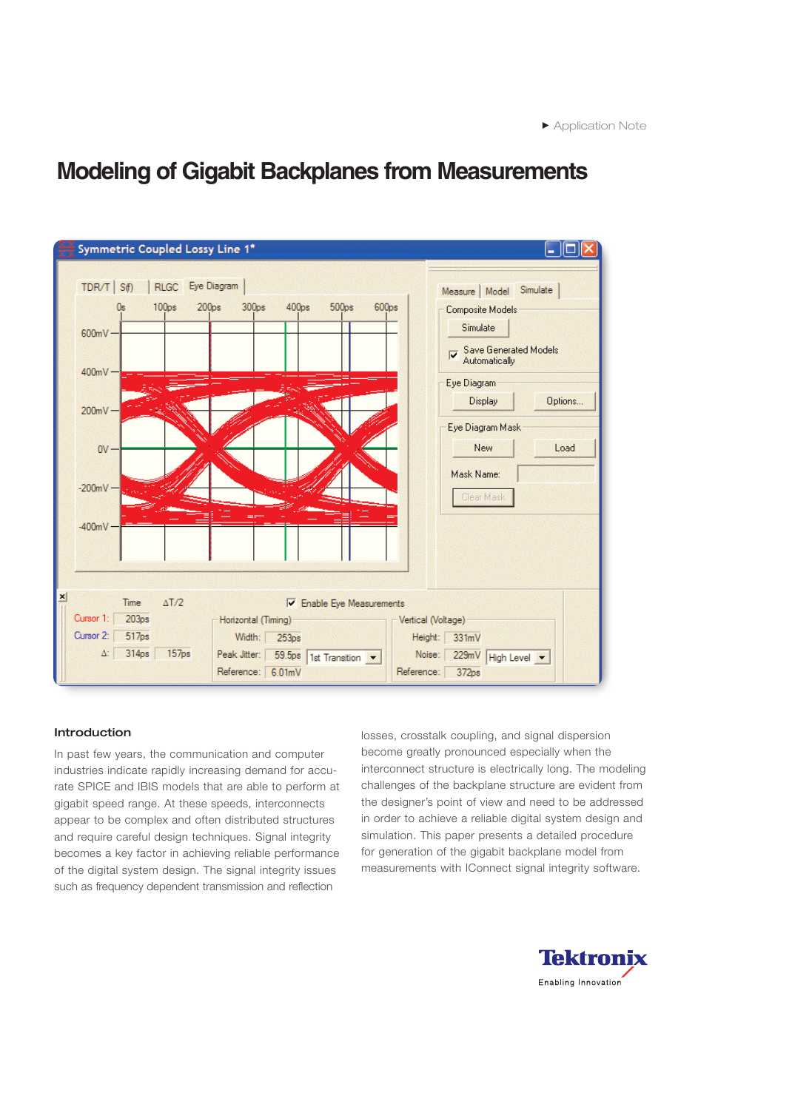

### **Introduction**

In past few years, the communication and computer industries indicate rapidly increasing demand for accurate SPICE and IBIS models that are able to perform at gigabit speed range. At these speeds, interconnects appear to be complex and often distributed structures and require careful design techniques. Signal integrity becomes a key factor in achieving reliable performance of the digital system design. The signal integrity issues such as frequency dependent transmission and reflection

losses, crosstalk coupling, and signal dispersion become greatly pronounced especially when the interconnect structure is electrically long. The modeling challenges of the backplane structure are evident from the designer's point of view and need to be addressed in order to achieve a reliable digital system design and simulation. This paper presents a detailed procedure for generation of the gigabit backplane model from measurements with IConnect signal integrity software.

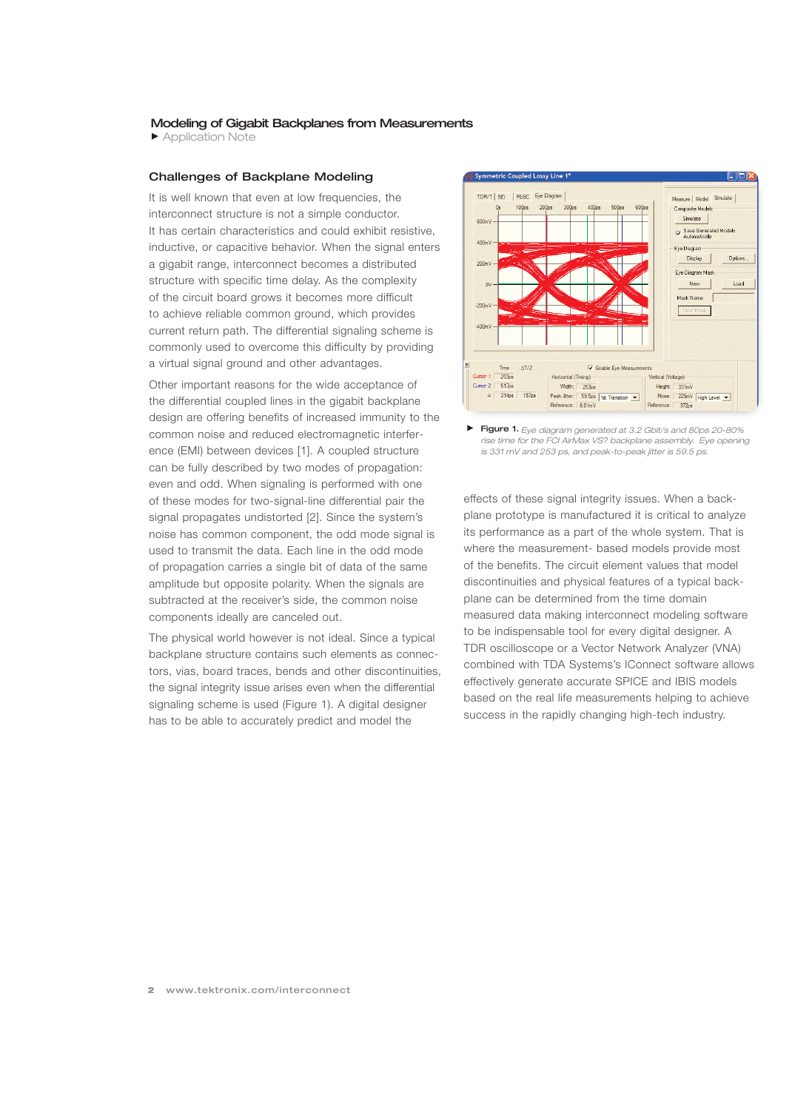Application Note

### **Challenges of Backplane Modeling**

It is well known that even at low frequencies, the interconnect structure is not a simple conductor. It has certain characteristics and could exhibit resistive, inductive, or capacitive behavior. When the signal enters a gigabit range, interconnect becomes a distributed structure with specific time delay. As the complexity of the circuit board grows it becomes more difficult to achieve reliable common ground, which provides current return path. The differential signaling scheme is commonly used to overcome this difficulty by providing a virtual signal ground and other advantages.

Other important reasons for the wide acceptance of the differential coupled lines in the gigabit backplane design are offering benefits of increased immunity to the common noise and reduced electromagnetic interference (EMI) between devices [1]. A coupled structure can be fully described by two modes of propagation: even and odd. When signaling is performed with one of these modes for two-signal-line differential pair the signal propagates undistorted [2]. Since the system's noise has common component, the odd mode signal is used to transmit the data. Each line in the odd mode of propagation carries a single bit of data of the same amplitude but opposite polarity. When the signals are subtracted at the receiver's side, the common noise components ideally are canceled out.

The physical world however is not ideal. Since a typical backplane structure contains such elements as connectors, vias, board traces, bends and other discontinuities, the signal integrity issue arises even when the differential signaling scheme is used (Figure 1). A digital designer has to be able to accurately predict and model the



**Figure 1.** *Eye diagram generated at 3.2 Gbit/s and 80ps 20-80% rise time for the FCI AirMax VS? backplane assembly. Eye opening is 331 mV and 253 ps, and peak-to-peak jitter is 59.5 ps.*

effects of these signal integrity issues. When a backplane prototype is manufactured it is critical to analyze its performance as a part of the whole system. That is where the measurement- based models provide most of the benefits. The circuit element values that model discontinuities and physical features of a typical backplane can be determined from the time domain measured data making interconnect modeling software to be indispensable tool for every digital designer. A TDR oscilloscope or a Vector Network Analyzer (VNA) combined with TDA Systems's IConnect software allows effectively generate accurate SPICE and IBIS models based on the real life measurements helping to achieve success in the rapidly changing high-tech industry.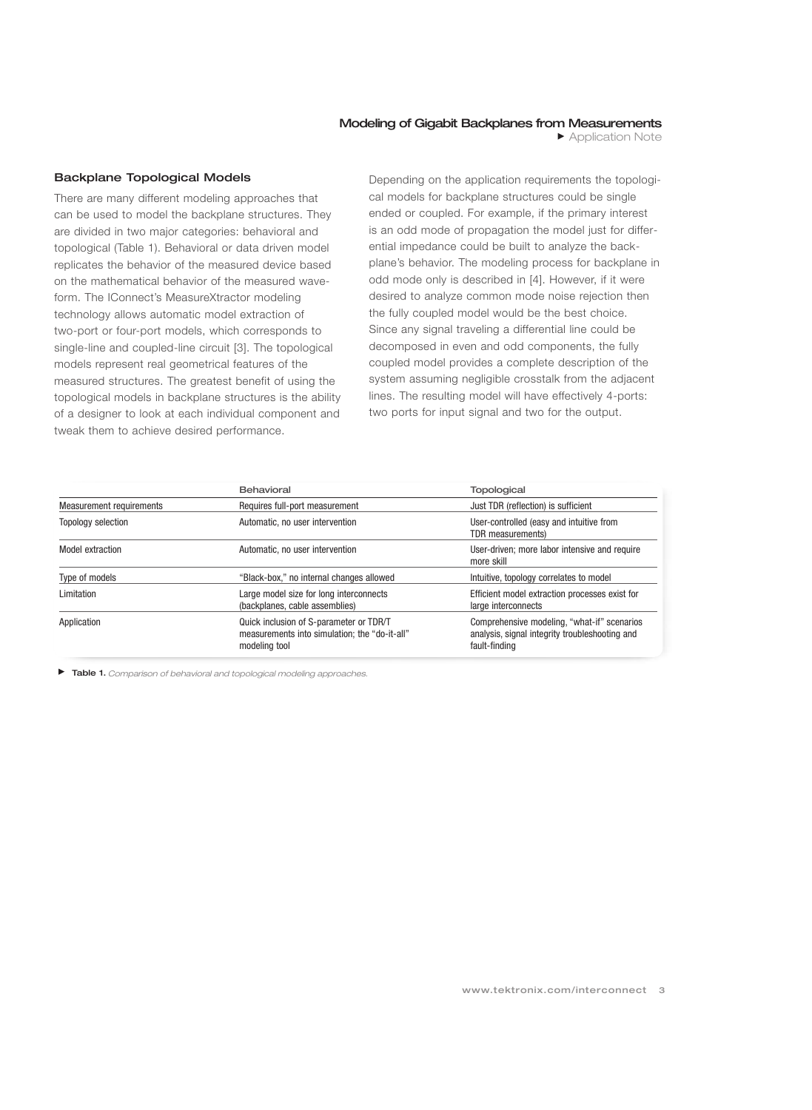### **Backplane Topological Models**

There are many different modeling approaches that can be used to model the backplane structures. They are divided in two major categories: behavioral and topological (Table 1). Behavioral or data driven model replicates the behavior of the measured device based on the mathematical behavior of the measured waveform. The IConnect's MeasureXtractor modeling technology allows automatic model extraction of two-port or four-port models, which corresponds to single-line and coupled-line circuit [3]. The topological models represent real geometrical features of the measured structures. The greatest benefit of using the topological models in backplane structures is the ability of a designer to look at each individual component and tweak them to achieve desired performance.

Depending on the application requirements the topological models for backplane structures could be single ended or coupled. For example, if the primary interest is an odd mode of propagation the model just for differential impedance could be built to analyze the backplane's behavior. The modeling process for backplane in odd mode only is described in [4]. However, if it were desired to analyze common mode noise rejection then the fully coupled model would be the best choice. Since any signal traveling a differential line could be decomposed in even and odd components, the fully coupled model provides a complete description of the system assuming negligible crosstalk from the adjacent lines. The resulting model will have effectively 4-ports: two ports for input signal and two for the output.

|                           | Behavioral<br><b>Topological</b>                                                                          |                                                                                                                |  |
|---------------------------|-----------------------------------------------------------------------------------------------------------|----------------------------------------------------------------------------------------------------------------|--|
| Measurement requirements  | Requires full-port measurement                                                                            | Just TDR (reflection) is sufficient                                                                            |  |
| <b>Topology selection</b> | Automatic, no user intervention                                                                           | User-controlled (easy and intuitive from<br>TDR measurements)                                                  |  |
| Model extraction          | Automatic, no user intervention                                                                           | User-driven; more labor intensive and require<br>more skill                                                    |  |
| Type of models            | "Black-box," no internal changes allowed                                                                  | Intuitive, topology correlates to model                                                                        |  |
| Limitation                | Large model size for long interconnects<br>(backplanes, cable assemblies)                                 | Efficient model extraction processes exist for<br>large interconnects                                          |  |
| Application               | Quick inclusion of S-parameter or TDR/T<br>measurements into simulation; the "do-it-all"<br>modeling tool | Comprehensive modeling, "what-if" scenarios<br>analysis, signal integrity troubleshooting and<br>fault-finding |  |

**Table 1.** *Comparison of behavioral and topological modeling approaches.*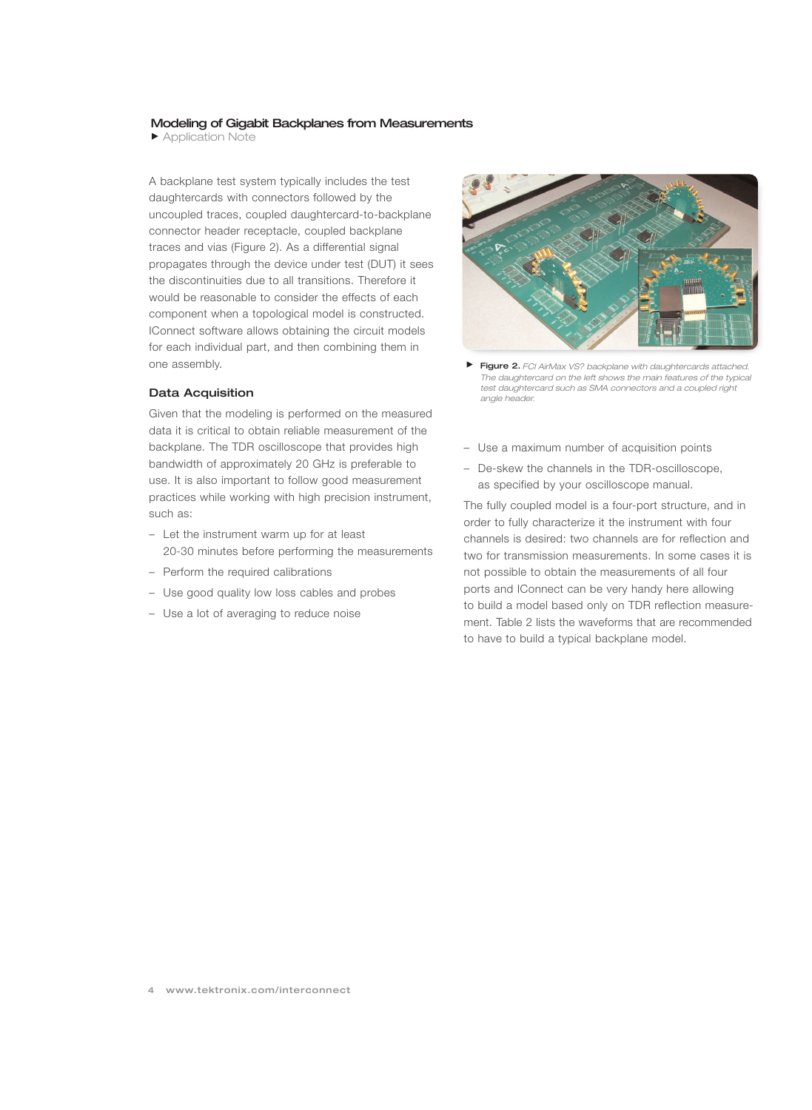Application Note

A backplane test system typically includes the test daughtercards with connectors followed by the uncoupled traces, coupled daughtercard-to-backplane connector header receptacle, coupled backplane traces and vias (Figure 2). As a differential signal propagates through the device under test (DUT) it sees the discontinuities due to all transitions. Therefore it would be reasonable to consider the effects of each component when a topological model is constructed. IConnect software allows obtaining the circuit models for each individual part, and then combining them in one assembly.

### **Data Acquisition**

Given that the modeling is performed on the measured data it is critical to obtain reliable measurement of the backplane. The TDR oscilloscope that provides high bandwidth of approximately 20 GHz is preferable to use. It is also important to follow good measurement practices while working with high precision instrument, such as:

- Let the instrument warm up for at least 20-30 minutes before performing the measurements
- Perform the required calibrations
- Use good quality low loss cables and probes
- Use a lot of averaging to reduce noise



- **Figure 2.** *FCI AirMax VS? backplane with daughtercards attached. The daughtercard on the left shows the main features of the typical test daughtercard such as SMA connectors and a coupled right angle header.*
- Use a maximum number of acquisition points
- De-skew the channels in the TDR-oscilloscope, as specified by your oscilloscope manual.

The fully coupled model is a four-port structure, and in order to fully characterize it the instrument with four channels is desired: two channels are for reflection and two for transmission measurements. In some cases it is not possible to obtain the measurements of all four ports and IConnect can be very handy here allowing to build a model based only on TDR reflection measurement. Table 2 lists the waveforms that are recommended to have to build a typical backplane model.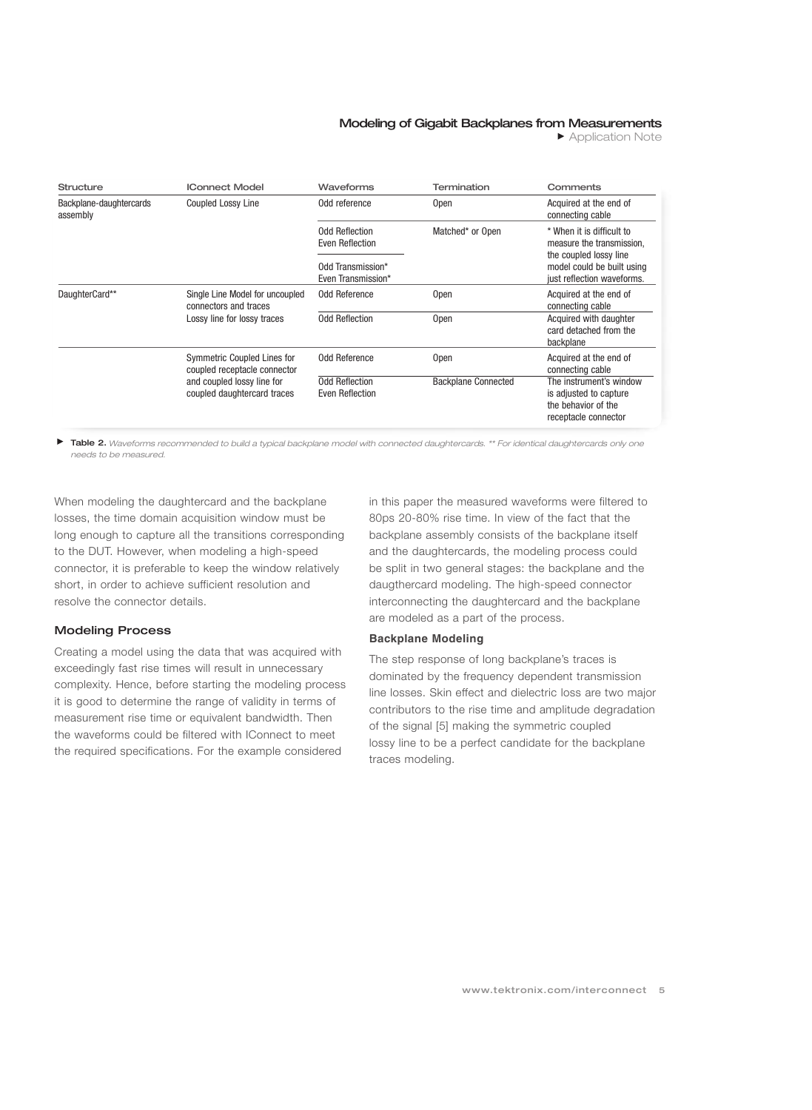**Application Note** 

| Structure                           | <b>IConnect Model</b>                                                                                                    | Waveforms                                | <b>Termination</b>         | Comments                                                                                         |
|-------------------------------------|--------------------------------------------------------------------------------------------------------------------------|------------------------------------------|----------------------------|--------------------------------------------------------------------------------------------------|
| Backplane-daughtercards<br>assembly | <b>Coupled Lossy Line</b>                                                                                                | Odd reference                            | <b>Open</b>                | Acquired at the end of<br>connecting cable                                                       |
|                                     |                                                                                                                          | <b>Odd Reflection</b><br>Even Reflection | Matched* or Open           | * When it is difficult to<br>measure the transmission.<br>the coupled lossy line                 |
|                                     |                                                                                                                          | Odd Transmission*<br>Even Transmission*  |                            | model could be built using<br>just reflection waveforms.                                         |
| DaughterCard**                      | Single Line Model for uncoupled<br>connectors and traces<br>Lossy line for lossy traces                                  | Odd Reference                            | 0pen                       | Acquired at the end of<br>connecting cable                                                       |
|                                     |                                                                                                                          | <b>Odd Reflection</b>                    | <b>Open</b>                | Acquired with daughter<br>card detached from the<br>backplane                                    |
|                                     | Symmetric Coupled Lines for<br>coupled receptacle connector<br>and coupled lossy line for<br>coupled daughtercard traces | Odd Reference                            | <b>Open</b>                | Acquired at the end of<br>connecting cable                                                       |
|                                     |                                                                                                                          | <b>Odd Reflection</b><br>Even Reflection | <b>Backplane Connected</b> | The instrument's window<br>is adjusted to capture<br>the behavior of the<br>receptacle connector |

**Table 2.** *Waveforms recommended to build a typical backplane model with connected daughtercards. \*\* For identical daughtercards only one needs to be measured.*

When modeling the daughtercard and the backplane losses, the time domain acquisition window must be long enough to capture all the transitions corresponding to the DUT. However, when modeling a high-speed connector, it is preferable to keep the window relatively short, in order to achieve sufficient resolution and resolve the connector details.

### **Modeling Process**

Creating a model using the data that was acquired with exceedingly fast rise times will result in unnecessary complexity. Hence, before starting the modeling process it is good to determine the range of validity in terms of measurement rise time or equivalent bandwidth. Then the waveforms could be filtered with IConnect to meet the required specifications. For the example considered

in this paper the measured waveforms were filtered to 80ps 20-80% rise time. In view of the fact that the backplane assembly consists of the backplane itself and the daughtercards, the modeling process could be split in two general stages: the backplane and the daugthercard modeling. The high-speed connector interconnecting the daughtercard and the backplane are modeled as a part of the process.

#### **Backplane Modeling**

The step response of long backplane's traces is dominated by the frequency dependent transmission line losses. Skin effect and dielectric loss are two major contributors to the rise time and amplitude degradation of the signal [5] making the symmetric coupled lossy line to be a perfect candidate for the backplane traces modeling.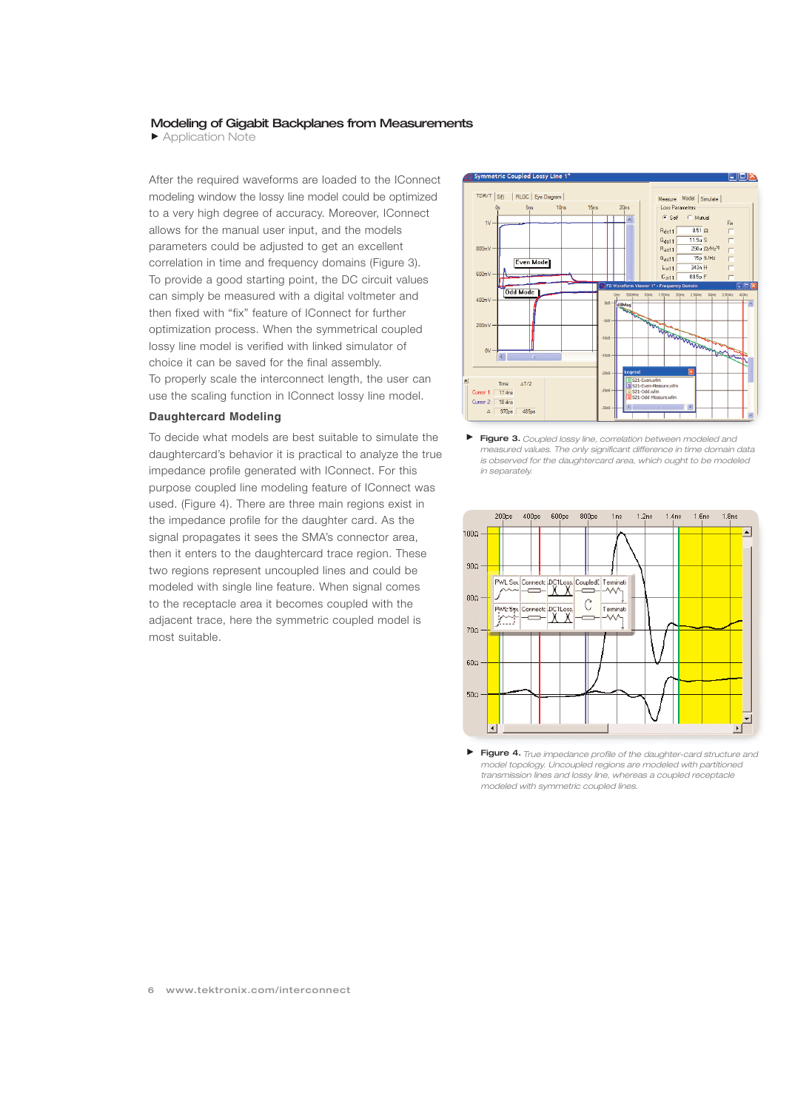Application Note

After the required waveforms are loaded to the IConnect modeling window the lossy line model could be optimized to a very high degree of accuracy. Moreover, IConnect allows for the manual user input, and the models parameters could be adjusted to get an excellent correlation in time and frequency domains (Figure 3). To provide a good starting point, the DC circuit values can simply be measured with a digital voltmeter and then fixed with "fix" feature of IConnect for further optimization process. When the symmetrical coupled lossy line model is verified with linked simulator of choice it can be saved for the final assembly. To properly scale the interconnect length, the user can use the scaling function in IConnect lossy line model.

### **Daughtercard Modeling**

To decide what models are best suitable to simulate the daughtercard's behavior it is practical to analyze the true impedance profile generated with IConnect. For this purpose coupled line modeling feature of IConnect was used. (Figure 4). There are three main regions exist in the impedance profile for the daughter card. As the signal propagates it sees the SMA's connector area, then it enters to the daughtercard trace region. These two regions represent uncoupled lines and could be modeled with single line feature. When signal comes to the receptacle area it becomes coupled with the adjacent trace, here the symmetric coupled model is most suitable.



**Figure 3.** *Coupled lossy line, correlation between modeled and measured values. The only significant difference in time domain data is observed for the daughtercard area, which ought to be modeled in separately.*



**Figure 4.** *True impedance profile of the daughter-card structure and model topology. Uncoupled regions are modeled with partitioned transmission lines and lossy line, whereas a coupled receptacle modeled with symmetric coupled lines.*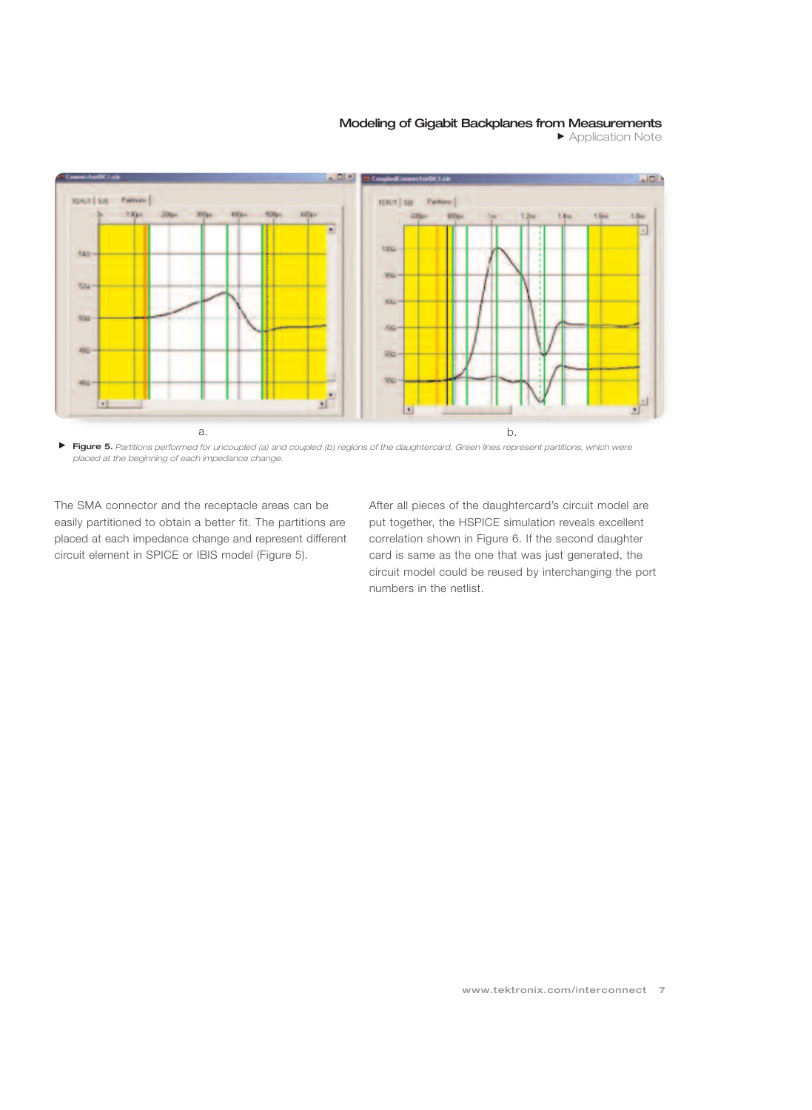Application Note



 $\blacktriangleright$ **Figure 5.** *Partitions performed for uncoupled (a) and coupled (b) regions of the daughtercard. Green lines represent partitions, which were placed at the beginning of each impedance change.*

The SMA connector and the receptacle areas can be easily partitioned to obtain a better fit. The partitions are placed at each impedance change and represent different circuit element in SPICE or IBIS model (Figure 5).

After all pieces of the daughtercard's circuit model are put together, the HSPICE simulation reveals excellent correlation shown in Figure 6. If the second daughter card is same as the one that was just generated, the circuit model could be reused by interchanging the port numbers in the netlist.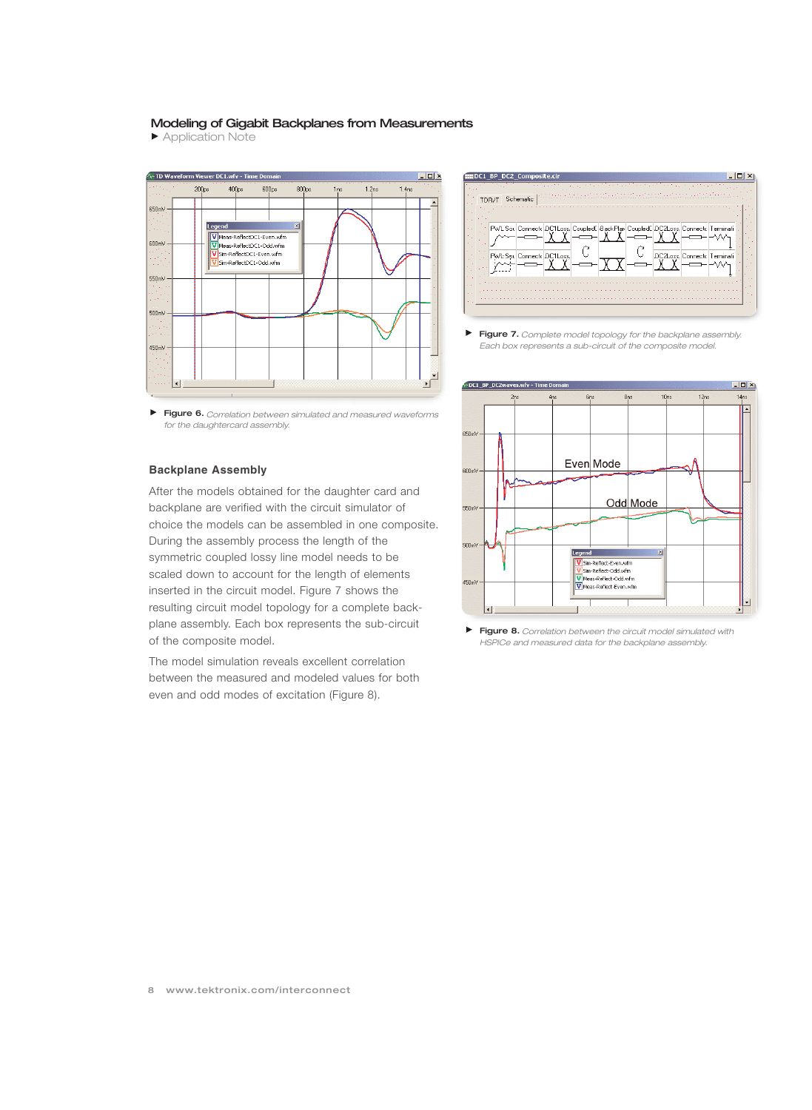Application Note



**Figure 6.** *Correlation between simulated and measured waveforms for the daughtercard assembly.*

#### **Backplane Assembly**

After the models obtained for the daughter card and backplane are verified with the circuit simulator of choice the models can be assembled in one composite. During the assembly process the length of the symmetric coupled lossy line model needs to be scaled down to account for the length of elements inserted in the circuit model. Figure 7 shows the resulting circuit model topology for a complete backplane assembly. Each box represents the sub-circuit of the composite model.

The model simulation reveals excellent correlation between the measured and modeled values for both even and odd modes of excitation (Figure 8).



ь **Figure 7.** *Complete model topology for the backplane assembly. Each box represents a sub-circuit of the composite model.*



 $\blacktriangleright$ **Figure 8.** *Correlation between the circuit model simulated with HSPICe and measured data for the backplane assembly.*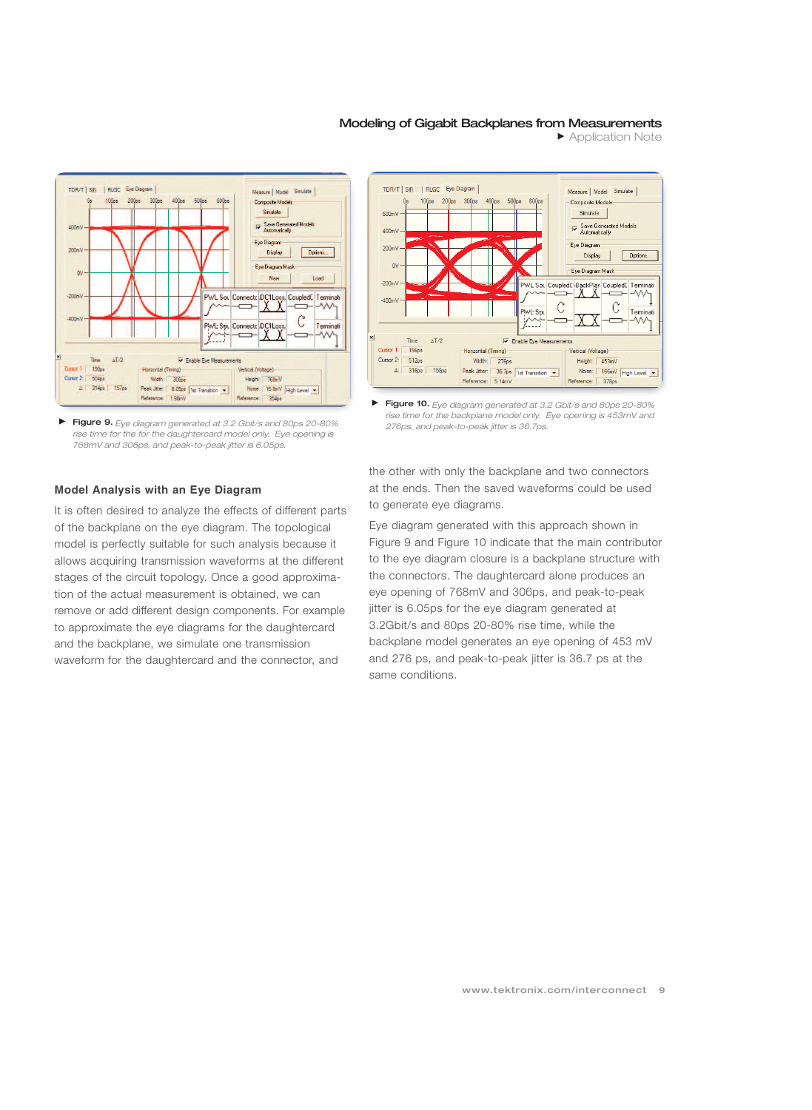

**Figure 9.** *Eye diagram generated at 3.2 Gbit/s and 80ps 20-80% rise time for the for the daughtercard model only. Eye opening is 768mV and 306ps, and peak-to-peak jitter is 6.05ps.*

### **Model Analysis with an Eye Diagram**

It is often desired to analyze the effects of different parts of the backplane on the eye diagram. The topological model is perfectly suitable for such analysis because it allows acquiring transmission waveforms at the different stages of the circuit topology. Once a good approximation of the actual measurement is obtained, we can remove or add different design components. For example to approximate the eye diagrams for the daughtercard and the backplane, we simulate one transmission waveform for the daughtercard and the connector, and



Application Note



**Figure 10.** *Eye diagram generated at 3.2 Gbit/s and 80ps 20-80% rise time for the backplane model only. Eye opening is 453mV and 276ps, and peak-to-peak jitter is 36.7ps.*

the other with only the backplane and two connectors at the ends. Then the saved waveforms could be used to generate eye diagrams.

Eye diagram generated with this approach shown in Figure 9 and Figure 10 indicate that the main contributor to the eye diagram closure is a backplane structure with the connectors. The daughtercard alone produces an eye opening of 768mV and 306ps, and peak-to-peak jitter is 6.05ps for the eye diagram generated at 3.2Gbit/s and 80ps 20-80% rise time, while the backplane model generates an eye opening of 453 mV and 276 ps, and peak-to-peak jitter is 36.7 ps at the same conditions.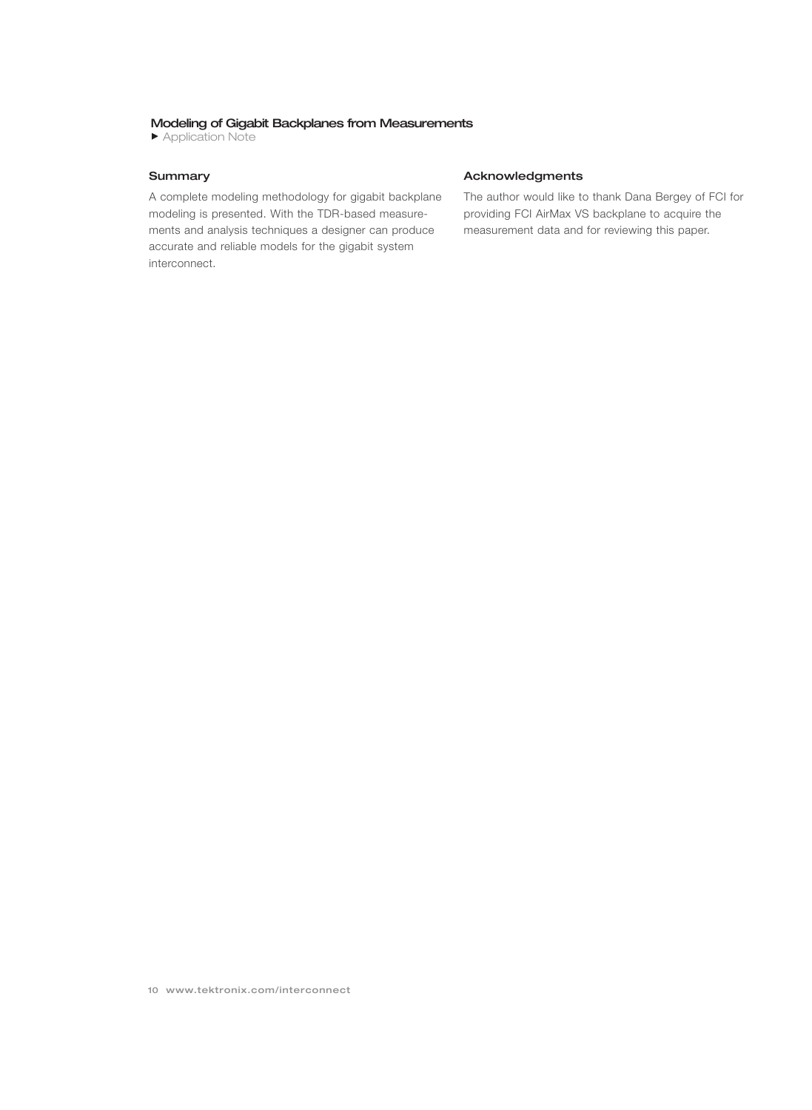Application Note

### **Summary**

A complete modeling methodology for gigabit backplane modeling is presented. With the TDR-based measurements and analysis techniques a designer can produce accurate and reliable models for the gigabit system interconnect.

### **Acknowledgments**

The author would like to thank Dana Bergey of FCI for providing FCI AirMax VS backplane to acquire the measurement data and for reviewing this paper.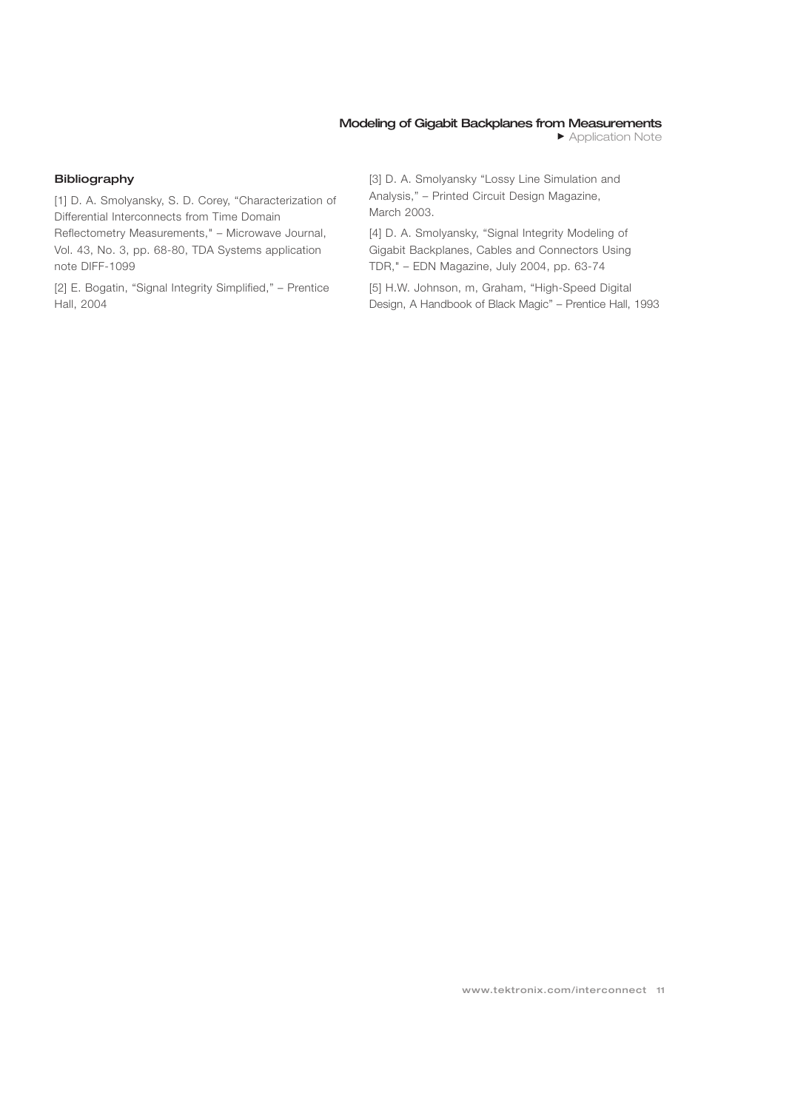### **Bibliography**

[1] D. A. Smolyansky, S. D. Corey, "Characterization of Differential Interconnects from Time Domain Reflectometry Measurements," – Microwave Journal, Vol. 43, No. 3, pp. 68-80, TDA Systems application note DIFF-1099

[2] E. Bogatin, "Signal Integrity Simplified," – Prentice Hall, 2004

[3] D. A. Smolyansky "Lossy Line Simulation and Analysis," – Printed Circuit Design Magazine, March 2003.

[4] D. A. Smolyansky, "Signal Integrity Modeling of Gigabit Backplanes, Cables and Connectors Using TDR," – EDN Magazine, July 2004, pp. 63-74

[5] H.W. Johnson, m, Graham, "High-Speed Digital Design, A Handbook of Black Magic" – Prentice Hall, 1993